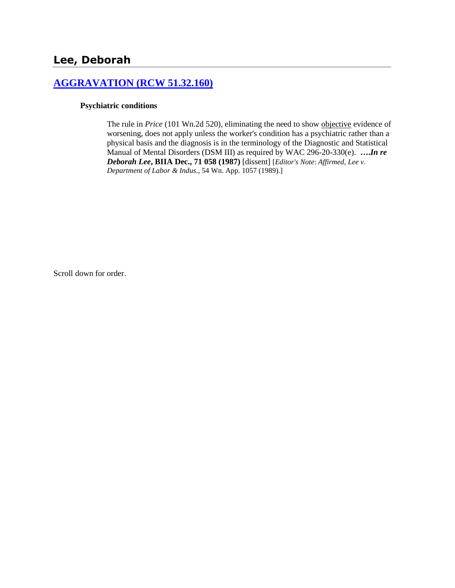# **[AGGRAVATION \(RCW 51.32.160\)](http://www.biia.wa.gov/SDSubjectIndex.html#AGGRAVATION)**

#### **Psychiatric conditions**

The rule in *Price* (101 Wn.2d 520), eliminating the need to show objective evidence of worsening, does not apply unless the worker's condition has a psychiatric rather than a physical basis and the diagnosis is in the terminology of the Diagnostic and Statistical Manual of Mental Disorders (DSM III) as required by WAC 296-20-330(e). **….***In re Deborah Lee***, BIIA Dec., 71 058 (1987)** [dissent] [*Editor's Note*: *Affirmed*, *Lee v. Department of Labor & Indus*., 54 Wn. App. 1057 (1989).]

Scroll down for order.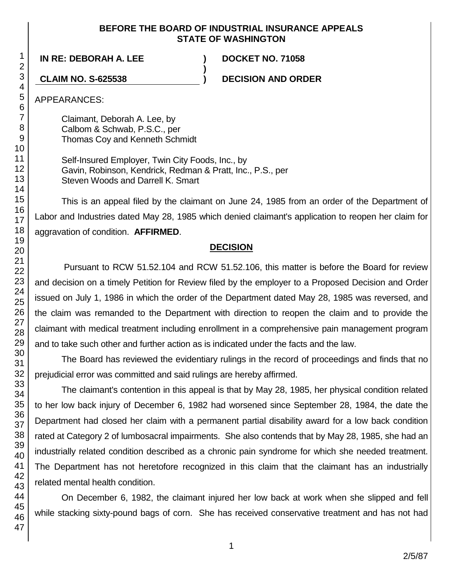## **BEFORE THE BOARD OF INDUSTRIAL INSURANCE APPEALS STATE OF WASHINGTON**

**)**

**IN RE: DEBORAH A. LEE ) DOCKET NO. 71058**

**CLAIM NO. S-625538 ) DECISION AND ORDER**

APPEARANCES:

Claimant, Deborah A. Lee, by Calbom & Schwab, P.S.C., per Thomas Coy and Kenneth Schmidt

Self-Insured Employer, Twin City Foods, Inc., by Gavin, Robinson, Kendrick, Redman & Pratt, Inc., P.S., per Steven Woods and Darrell K. Smart

This is an appeal filed by the claimant on June 24, 1985 from an order of the Department of Labor and Industries dated May 28, 1985 which denied claimant's application to reopen her claim for aggravation of condition. **AFFIRMED**.

## **DECISION**

Pursuant to RCW 51.52.104 and RCW 51.52.106, this matter is before the Board for review and decision on a timely Petition for Review filed by the employer to a Proposed Decision and Order issued on July 1, 1986 in which the order of the Department dated May 28, 1985 was reversed, and the claim was remanded to the Department with direction to reopen the claim and to provide the claimant with medical treatment including enrollment in a comprehensive pain management program and to take such other and further action as is indicated under the facts and the law.

The Board has reviewed the evidentiary rulings in the record of proceedings and finds that no prejudicial error was committed and said rulings are hereby affirmed.

The claimant's contention in this appeal is that by May 28, 1985, her physical condition related to her low back injury of December 6, 1982 had worsened since September 28, 1984, the date the Department had closed her claim with a permanent partial disability award for a low back condition rated at Category 2 of lumbosacral impairments. She also contends that by May 28, 1985, she had an industrially related condition described as a chronic pain syndrome for which she needed treatment. The Department has not heretofore recognized in this claim that the claimant has an industrially related mental health condition.

On December 6, 1982, the claimant injured her low back at work when she slipped and fell while stacking sixty-pound bags of corn. She has received conservative treatment and has not had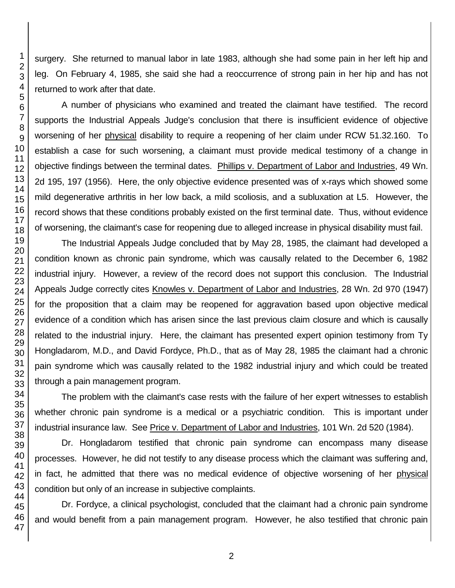surgery. She returned to manual labor in late 1983, although she had some pain in her left hip and leg. On February 4, 1985, she said she had a reoccurrence of strong pain in her hip and has not returned to work after that date.

A number of physicians who examined and treated the claimant have testified. The record supports the Industrial Appeals Judge's conclusion that there is insufficient evidence of objective worsening of her physical disability to require a reopening of her claim under RCW 51.32.160. To establish a case for such worsening, a claimant must provide medical testimony of a change in objective findings between the terminal dates. Phillips v. Department of Labor and Industries, 49 Wn. 2d 195, 197 (1956). Here, the only objective evidence presented was of x-rays which showed some mild degenerative arthritis in her low back, a mild scoliosis, and a subluxation at L5. However, the record shows that these conditions probably existed on the first terminal date. Thus, without evidence of worsening, the claimant's case for reopening due to alleged increase in physical disability must fail.

The Industrial Appeals Judge concluded that by May 28, 1985, the claimant had developed a condition known as chronic pain syndrome, which was causally related to the December 6, 1982 industrial injury. However, a review of the record does not support this conclusion. The Industrial Appeals Judge correctly cites Knowles v. Department of Labor and Industries, 28 Wn. 2d 970 (1947) for the proposition that a claim may be reopened for aggravation based upon objective medical evidence of a condition which has arisen since the last previous claim closure and which is causally related to the industrial injury. Here, the claimant has presented expert opinion testimony from Ty Hongladarom, M.D., and David Fordyce, Ph.D., that as of May 28, 1985 the claimant had a chronic pain syndrome which was causally related to the 1982 industrial injury and which could be treated through a pain management program.

The problem with the claimant's case rests with the failure of her expert witnesses to establish whether chronic pain syndrome is a medical or a psychiatric condition. This is important under industrial insurance law. See Price v. Department of Labor and Industries, 101 Wn. 2d 520 (1984).

Dr. Hongladarom testified that chronic pain syndrome can encompass many disease processes. However, he did not testify to any disease process which the claimant was suffering and, in fact, he admitted that there was no medical evidence of objective worsening of her physical condition but only of an increase in subjective complaints.

Dr. Fordyce, a clinical psychologist, concluded that the claimant had a chronic pain syndrome and would benefit from a pain management program. However, he also testified that chronic pain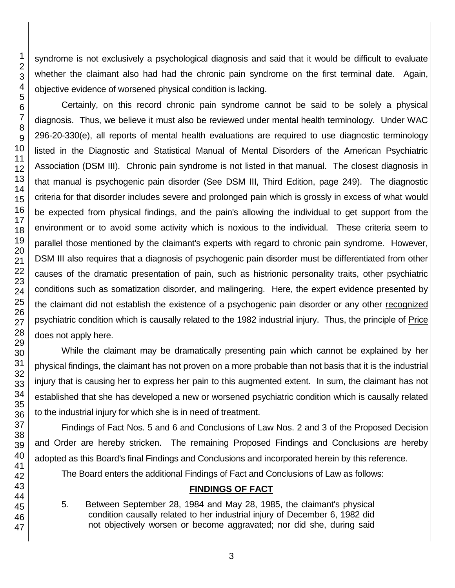syndrome is not exclusively a psychological diagnosis and said that it would be difficult to evaluate whether the claimant also had had the chronic pain syndrome on the first terminal date. Again, objective evidence of worsened physical condition is lacking.

Certainly, on this record chronic pain syndrome cannot be said to be solely a physical diagnosis. Thus, we believe it must also be reviewed under mental health terminology. Under WAC 296-20-330(e), all reports of mental health evaluations are required to use diagnostic terminology listed in the Diagnostic and Statistical Manual of Mental Disorders of the American Psychiatric Association (DSM III). Chronic pain syndrome is not listed in that manual. The closest diagnosis in that manual is psychogenic pain disorder (See DSM III, Third Edition, page 249). The diagnostic criteria for that disorder includes severe and prolonged pain which is grossly in excess of what would be expected from physical findings, and the pain's allowing the individual to get support from the environment or to avoid some activity which is noxious to the individual. These criteria seem to parallel those mentioned by the claimant's experts with regard to chronic pain syndrome. However, DSM III also requires that a diagnosis of psychogenic pain disorder must be differentiated from other causes of the dramatic presentation of pain, such as histrionic personality traits, other psychiatric conditions such as somatization disorder, and malingering. Here, the expert evidence presented by the claimant did not establish the existence of a psychogenic pain disorder or any other recognized psychiatric condition which is causally related to the 1982 industrial injury. Thus, the principle of Price does not apply here.

While the claimant may be dramatically presenting pain which cannot be explained by her physical findings, the claimant has not proven on a more probable than not basis that it is the industrial injury that is causing her to express her pain to this augmented extent. In sum, the claimant has not established that she has developed a new or worsened psychiatric condition which is causally related to the industrial injury for which she is in need of treatment.

Findings of Fact Nos. 5 and 6 and Conclusions of Law Nos. 2 and 3 of the Proposed Decision and Order are hereby stricken. The remaining Proposed Findings and Conclusions are hereby adopted as this Board's final Findings and Conclusions and incorporated herein by this reference.

The Board enters the additional Findings of Fact and Conclusions of Law as follows:

## **FINDINGS OF FACT**

5. Between September 28, 1984 and May 28, 1985, the claimant's physical condition causally related to her industrial injury of December 6, 1982 did not objectively worsen or become aggravated; nor did she, during said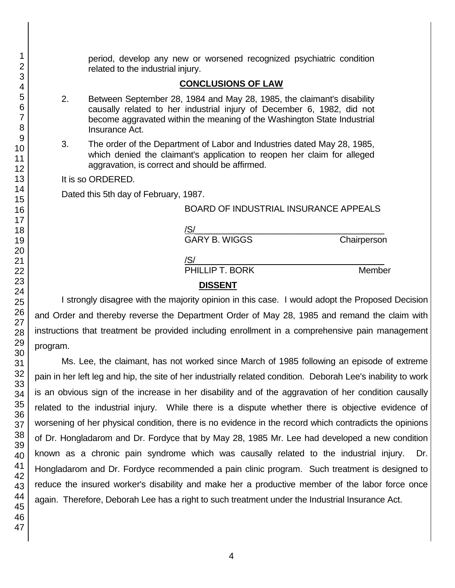period, develop any new or worsened recognized psychiatric condition related to the industrial injury.

### **CONCLUSIONS OF LAW**

- 2. Between September 28, 1984 and May 28, 1985, the claimant's disability causally related to her industrial injury of December 6, 1982, did not become aggravated within the meaning of the Washington State Industrial Insurance Act.
- 3. The order of the Department of Labor and Industries dated May 28, 1985, which denied the claimant's application to reopen her claim for alleged aggravation, is correct and should be affirmed.

It is so ORDERED.

Dated this 5th day of February, 1987.

#### BOARD OF INDUSTRIAL INSURANCE APPEALS

| /S/                  |             |
|----------------------|-------------|
| <b>GARY B. WIGGS</b> | Chairperson |
| /S/                  |             |
| PHILLIP T. BORK      | Member      |

#### **DISSENT**

I strongly disagree with the majority opinion in this case. I would adopt the Proposed Decision and Order and thereby reverse the Department Order of May 28, 1985 and remand the claim with instructions that treatment be provided including enrollment in a comprehensive pain management program.

Ms. Lee, the claimant, has not worked since March of 1985 following an episode of extreme pain in her left leg and hip, the site of her industrially related condition. Deborah Lee's inability to work is an obvious sign of the increase in her disability and of the aggravation of her condition causally related to the industrial injury. While there is a dispute whether there is objective evidence of worsening of her physical condition, there is no evidence in the record which contradicts the opinions of Dr. Hongladarom and Dr. Fordyce that by May 28, 1985 Mr. Lee had developed a new condition known as a chronic pain syndrome which was causally related to the industrial injury. Dr. Hongladarom and Dr. Fordyce recommended a pain clinic program. Such treatment is designed to reduce the insured worker's disability and make her a productive member of the labor force once again. Therefore, Deborah Lee has a right to such treatment under the Industrial Insurance Act.

1